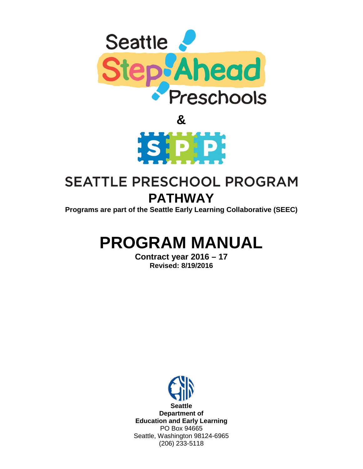



# **SEATTLE PRESCHOOL PROGRAM PATHWAY**

**Programs are part of the Seattle Early Learning Collaborative (SEEC)**

# **PROGRAM MANUAL**

**Contract year 2016 – 17 Revised: 8/19/2016**

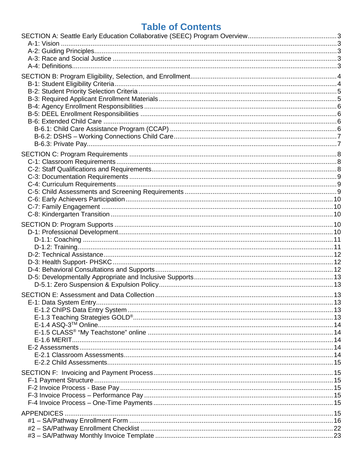# **Table of Contents**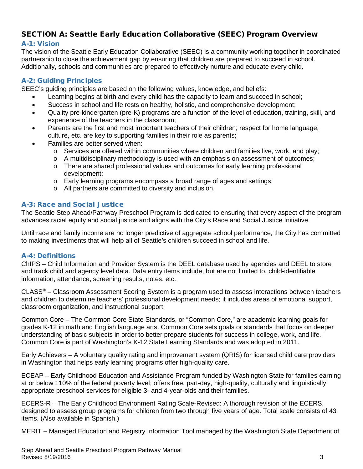# <span id="page-2-0"></span>SECTION A: Seattle Early Education Collaborative (SEEC) Program Overview

#### <span id="page-2-1"></span>A-1: Vision

The vision of the Seattle Early Education Collaborative (SEEC) is a community working together in coordinated partnership to close the achievement gap by ensuring that children are prepared to succeed in school. Additionally, schools and communities are prepared to effectively nurture and educate every child.

#### <span id="page-2-2"></span>A-2: Guiding Principles

SEEC's guiding principles are based on the following values, knowledge, and beliefs:

- Learning begins at birth and every child has the capacity to learn and succeed in school;
- Success in school and life rests on healthy, holistic, and comprehensive development;
- Quality pre-kindergarten (pre-K) programs are a function of the level of education, training, skill, and experience of the teachers in the classroom;
- Parents are the first and most important teachers of their children; respect for home language, culture, etc. are key to supporting families in their role as parents;
- Families are better served when:
	- $\circ$  Services are offered within communities where children and families live, work, and play;
	- o A multidisciplinary methodology is used with an emphasis on assessment of outcomes;
	- o There are shared professional values and outcomes for early learning professional development;
	- o Early learning programs encompass a broad range of ages and settings;
	- o All partners are committed to diversity and inclusion.

#### <span id="page-2-3"></span>A-3: Race and Social Justice

The Seattle Step Ahead/Pathway Preschool Program is dedicated to ensuring that every aspect of the program advances racial equity and social justice and aligns with the City's Race and Social Justice Initiative.

Until race and family income are no longer predictive of aggregate school performance, the City has committed to making investments that will help all of Seattle's children succeed in school and life.

#### <span id="page-2-4"></span>A-4: Definitions

ChIPS – Child Information and Provider System is the DEEL database used by agencies and DEEL to store and track child and agency level data. Data entry items include, but are not limited to, child-identifiable information, attendance, screening results, notes, etc.

CLASS® – Classroom Assessment Scoring System is a program used to assess interactions between teachers and children to determine teachers' professional development needs; it includes areas of emotional support, classroom organization, and instructional support.

Common Core – The Common Core State Standards, or "Common Core," are academic learning goals for grades K-12 in math and English language arts. Common Core sets goals or standards that focus on deeper understanding of basic subjects in order to better prepare students for success in college, work, and life. Common Core is part of Washington's K-12 State Learning Standards and was adopted in 2011.

Early Achievers – A voluntary quality rating and improvement system (QRIS) for licensed child care providers in Washington that helps early learning programs offer high-quality care.

ECEAP – Early Childhood Education and Assistance Program funded by Washington State for families earning at or below 110% of the federal poverty level; offers free, part-day, high-quality, culturally and linguistically appropriate preschool services for eligible 3- and 4-year-olds and their families.

ECERS-R – The Early Childhood Environment Rating Scale-Revised: A thorough revision of the ECERS, designed to assess group programs for children from two through five years of age. Total scale consists of 43 items. (Also available in Spanish.)

MERIT – Managed Education and Registry Information Tool managed by the Washington State Department of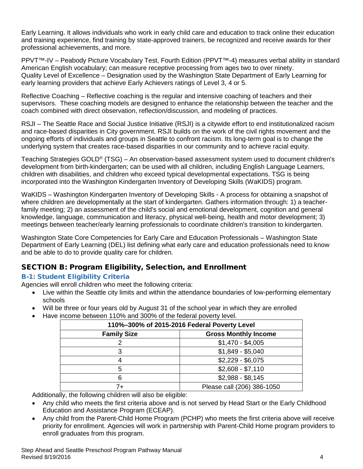Early Learning. It allows individuals who work in early child care and education to track online their education and training experience, find training by state-approved trainers, be recognized and receive awards for their professional achievements, and more.

PPVT™-IV – Peabody Picture Vocabulary Test, Fourth Edition (PPVT™-4) measures verbal ability in standard American English vocabulary; can measure receptive processing from ages two to over ninety. Quality Level of Excellence – Designation used by the Washington State Department of Early Learning for early learning providers that achieve Early Achievers ratings of Level 3, 4 or 5.

Reflective Coaching – Reflective coaching is the regular and intensive coaching of teachers and their supervisors. These coaching models are designed to enhance the relationship between the teacher and the coach combined with direct observation, reflection/discussion, and modeling of practices.

RSJI – The Seattle Race and Social Justice Initiative (RSJI) is a citywide effort to end institutionalized racism and race-based disparities in City government. RSJI builds on the work of the civil rights movement and the ongoing efforts of individuals and groups in Seattle to confront racism. Its long-term goal is to change the underlying system that creates race-based disparities in our community and to achieve racial equity.

Teaching Strategies GOLD® (TSG) – An observation-based assessment system used to document children's development from birth-kindergarten; can be used with all children, including English Language Learners, children with disabilities, and children who exceed typical developmental expectations. TSG is being incorporated into the Washington Kindergarten Inventory of Developing Skills (WaKIDS) program.

WaKIDS – Washington Kindergarten Inventory of Developing Skills - A process for obtaining a snapshot of where children are developmentally at the start of kindergarten. Gathers information through: 1) a teacherfamily meeting; 2) an assessment of the child's social and emotional development, cognition and general knowledge, language, communication and literacy, physical well-being, health and motor development; 3) meetings between teacher/early learning professionals to coordinate children's transition to kindergarten.

Washington State Core Competencies for Early Care and Education Professionals – Washington State Department of Early Learning (DEL) list defining what early care and education professionals need to know and be able to do to provide quality care for children.

# <span id="page-3-0"></span>SECTION B: Program Eligibility, Selection, and Enrollment

## <span id="page-3-1"></span>B-1: Student Eligibility Criteria

Agencies will enroll children who meet the following criteria:

- Live within the Seattle city limits and within the attendance boundaries of low-performing elementary schools
- Will be three or four years old by August 31 of the school year in which they are enrolled
- Have income between 110% and 300% of the federal poverty level.

| 110%-300% of 2015-2016 Federal Poverty Level |                             |  |  |  |
|----------------------------------------------|-----------------------------|--|--|--|
| <b>Family Size</b>                           | <b>Gross Monthly Income</b> |  |  |  |
|                                              | $$1,470 - $4,005$           |  |  |  |
|                                              | $$1,849 - $5,040$           |  |  |  |
|                                              | $$2,229 - $6,075$           |  |  |  |
| 5                                            | $$2,608 - $7,110$           |  |  |  |
| 6                                            | $$2,988 - $8,145$           |  |  |  |
| 7+                                           | Please call (206) 386-1050  |  |  |  |

Additionally, the following children will also be eligible:

- Any child who meets the first criteria above and is not served by Head Start or the Early Childhood Education and Assistance Program (ECEAP).
- Any child from the Parent-Child Home Program (PCHP) who meets the first criteria above will receive priority for enrollment. Agencies will work in partnership with Parent-Child Home program providers to enroll graduates from this program.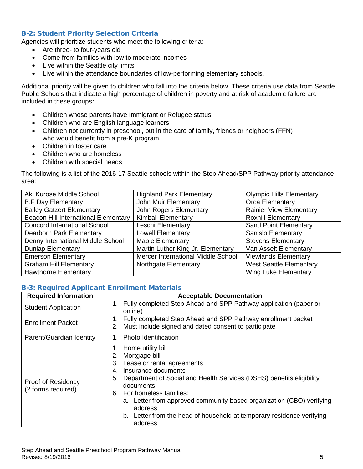#### <span id="page-4-0"></span>B-2: Student Priority Selection Criteria

Agencies will prioritize students who meet the following criteria:

- Are three- to four-years old
- Come from families with low to moderate incomes
- Live within the Seattle city limits
- Live within the attendance boundaries of low-performing elementary schools.

Additional priority will be given to children who fall into the criteria below. These criteria use data from Seattle Public Schools that indicate a high percentage of children in poverty and at risk of academic failure are included in these groups**:**

- Children whose parents have Immigrant or Refugee status
- Children who are English language learners
- Children not currently in preschool, but in the care of family, friends or neighbors (FFN) who would benefit from a pre-K program.
- Children in foster care
- Children who are homeless
- Children with special needs

The following is a list of the 2016-17 Seattle schools within the Step Ahead/SPP Pathway priority attendance area:

| Aki Kurose Middle School             | <b>Highland Park Elementary</b>    | <b>Olympic Hills Elementary</b> |
|--------------------------------------|------------------------------------|---------------------------------|
| <b>B.F Day Elementary</b>            | John Muir Elementary               | Orca Elementary                 |
| <b>Bailey Gatzert Elementary</b>     | John Rogers Elementary             | <b>Rainier View Elementary</b>  |
| Beacon Hill International Elementary | <b>Kimball Elementary</b>          | <b>Roxhill Elementary</b>       |
| <b>Concord International School</b>  | Leschi Elementary                  | <b>Sand Point Elementary</b>    |
| <b>Dearborn Park Elementary</b>      | <b>Lowell Elementary</b>           | <b>Sanislo Elementary</b>       |
| Denny International Middle School    | Maple Elementary                   | <b>Stevens Elementary</b>       |
| <b>Dunlap Elementary</b>             | Martin Luther King Jr. Elementary  | Van Asselt Elementary           |
| <b>Emerson Elementary</b>            | Mercer International Middle School | <b>Viewlands Elementary</b>     |
| <b>Graham Hill Elementary</b>        | Northgate Elementary               | <b>West Seattle Elementary</b>  |
| <b>Hawthorne Elementary</b>          |                                    | <b>Wing Luke Elementary</b>     |

#### <span id="page-4-1"></span>B-3: Required Applicant Enrollment Materials

| <b>Required Information</b>              | <b>Acceptable Documentation</b>                                                                                                                                                                                                                                                                                                                                                                             |
|------------------------------------------|-------------------------------------------------------------------------------------------------------------------------------------------------------------------------------------------------------------------------------------------------------------------------------------------------------------------------------------------------------------------------------------------------------------|
| <b>Student Application</b>               | Fully completed Step Ahead and SPP Pathway application (paper or<br>1.<br>online)                                                                                                                                                                                                                                                                                                                           |
| <b>Enrollment Packet</b>                 | Fully completed Step Ahead and SPP Pathway enrollment packet<br>1.<br>Must include signed and dated consent to participate<br>2.                                                                                                                                                                                                                                                                            |
| Parent/Guardian Identity                 | <b>Photo Identification</b>                                                                                                                                                                                                                                                                                                                                                                                 |
| Proof of Residency<br>(2 forms required) | 1. Home utility bill<br>Mortgage bill<br>2.<br>3. Lease or rental agreements<br>Insurance documents<br>4.<br>Department of Social and Health Services (DSHS) benefits eligibility<br>5.<br>documents<br>6. For homeless families:<br>a. Letter from approved community-based organization (CBO) verifying<br>address<br>Letter from the head of household at temporary residence verifying<br>b.<br>address |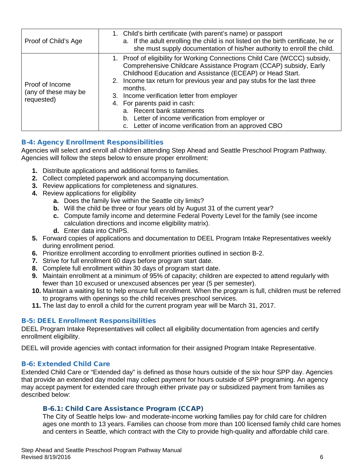| Proof of Child's Age                                  | 1. Child's birth certificate (with parent's name) or passport<br>a. If the adult enrolling the child is not listed on the birth certificate, he or<br>she must supply documentation of his/her authority to enroll the child.                                                                                                                                                                                                                                                                                                  |
|-------------------------------------------------------|--------------------------------------------------------------------------------------------------------------------------------------------------------------------------------------------------------------------------------------------------------------------------------------------------------------------------------------------------------------------------------------------------------------------------------------------------------------------------------------------------------------------------------|
| Proof of Income<br>(any of these may be<br>requested) | 1. Proof of eligibility for Working Connections Child Care (WCCC) subsidy,<br>Comprehensive Childcare Assistance Program (CCAP) subsidy, Early<br>Childhood Education and Assistance (ECEAP) or Head Start.<br>2. Income tax return for previous year and pay stubs for the last three<br>months.<br>3. Income verification letter from employer<br>4. For parents paid in cash:<br>a. Recent bank statements<br>Letter of income verification from employer or<br>b.<br>c. Letter of income verification from an approved CBO |

### <span id="page-5-0"></span>B-4: Agency Enrollment Responsibilities

Agencies will select and enroll all children attending Step Ahead and Seattle Preschool Program Pathway. Agencies will follow the steps below to ensure proper enrollment:

- **1.** Distribute applications and additional forms to families.
- **2.** Collect completed paperwork and accompanying documentation.
- **3.** Review applications for completeness and signatures.
- **4.** Review applications for eligibility
	- **a.** Does the family live within the Seattle city limits?
	- **b.** Will the child be three or four years old by August 31 of the current year?
	- **c.** Compute family income and determine Federal Poverty Level for the family (see income calculation directions and income eligibility matrix).
	- **d.** Enter data into ChIPS.
- **5.** Forward copies of applications and documentation to DEEL Program Intake Representatives weekly during enrollment period.
- **6.** Prioritize enrollment according to enrollment priorities outlined in section B-2.
- **7.** Strive for full enrollment 60 days before program start date.
- **8.** Complete full enrollment within 30 days of program start date.
- **9.** Maintain enrollment at a minimum of 95% of capacity; children are expected to attend regularly with fewer than 10 excused or unexcused absences per year (5 per semester).
- **10.** Maintain a waiting list to help ensure full enrollment. When the program is full, children must be referred to programs with openings so the child receives preschool services.
- **11.** The last day to enroll a child for the current program year will be March 31, 2017.

#### <span id="page-5-1"></span>B-5: DEEL Enrollment Responsibilities

DEEL Program Intake Representatives will collect all eligibility documentation from agencies and certify enrollment eligibility.

DEEL will provide agencies with contact information for their assigned Program Intake Representative.

#### <span id="page-5-2"></span>B-6: Extended Child Care

Extended Child Care or "Extended day" is defined as those hours outside of the six hour SPP day. Agencies that provide an extended day model may collect payment for hours outside of SPP programing. An agency may accept payment for extended care through either private pay or subsidized payment from families as described below:

#### <span id="page-5-3"></span>B-6.1: Child Care Assistance Program (CCAP)

The City of Seattle helps low- and moderate-income working families pay for child care for children ages one month to 13 years. Families can choose from more than 100 licensed family child care homes and centers in Seattle, which contract with the City to provide high-quality and affordable child care.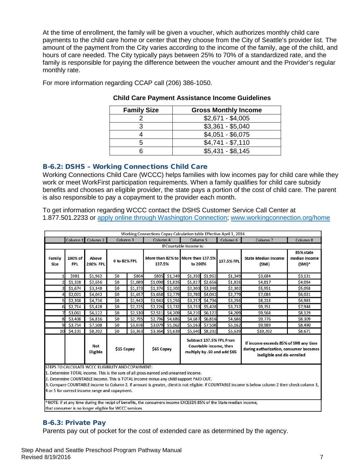At the time of enrollment, the family will be given a voucher, which authorizes monthly child care payments to the child care home or center that they choose from the City of Seattle's provider list. The amount of the payment from the City varies according to the income of the family, age of the child, and hours of care needed. The City typically pays between 25% to 70% of a standardized rate, and the family is responsible for paying the difference between the voucher amount and the Provider's regular monthly rate.

For more information regarding CCAP call (206) 386-1050.

| <b>Family Size</b> | <b>Gross Monthly Income</b> |
|--------------------|-----------------------------|
|                    | $$2,671 - $4,005$           |
|                    | $$3,361 - $5,040$           |
|                    | $$4,051 - $6,075$           |
|                    | $$4,741 - $7,110$           |
|                    | $$5,431 - $8,145$           |

#### **Child Care Payment Assistance Income Guidelines**

#### <span id="page-6-0"></span>B-6.2: DSHS – Working Connections Child Care

Working Connections Child Care (WCCC) helps families with low incomes pay for child care while they work or meet WorkFirst participation requirements. When a family qualifies for child care subsidy benefits and chooses an eligible provider, the state pays a portion of the cost of child care. The parent is also responsible to pay a copayment to the provider each month.

To get information regarding WCCC contact the DSHS Customer Service Call Center at 1.877.501.2233 or [apply online through Washington Connection;](http://www.washingtonconnection.org/) [www.workingconnection.org/home](http://www.workingconnection.org/home)

| Working Connections Copay Calculation table Effective April 1, 2016                                                                                                                                                                                                                                                                                                                                                                                                                                                                                                                                                                                                                                |                                                                                                                                                                                                                                                            |                   |              |         |                                             |                 |                                              |                 |            |                                     |                                         |
|----------------------------------------------------------------------------------------------------------------------------------------------------------------------------------------------------------------------------------------------------------------------------------------------------------------------------------------------------------------------------------------------------------------------------------------------------------------------------------------------------------------------------------------------------------------------------------------------------------------------------------------------------------------------------------------------------|------------------------------------------------------------------------------------------------------------------------------------------------------------------------------------------------------------------------------------------------------------|-------------------|--------------|---------|---------------------------------------------|-----------------|----------------------------------------------|-----------------|------------|-------------------------------------|-----------------------------------------|
|                                                                                                                                                                                                                                                                                                                                                                                                                                                                                                                                                                                                                                                                                                    | Column 1                                                                                                                                                                                                                                                   | Column 2          | Column 3     |         | Column 6<br>Column 4<br>Column <sub>5</sub> |                 | Column <sub>7</sub>                          | Column 8        |            |                                     |                                         |
|                                                                                                                                                                                                                                                                                                                                                                                                                                                                                                                                                                                                                                                                                                    | If Countable Income is:                                                                                                                                                                                                                                    |                   |              |         |                                             |                 |                                              |                 |            |                                     |                                         |
| Family<br><b>Size</b>                                                                                                                                                                                                                                                                                                                                                                                                                                                                                                                                                                                                                                                                              | 100% of<br><b>FPL</b>                                                                                                                                                                                                                                      | Above<br>200% FPL | 0 to 82% FPL |         | 137.5%                                      |                 | More than 82% to More than 137.5%<br>to 200% |                 | 137.5% FPL | <b>State Median Income</b><br>(SMI) | 85% state<br>median income<br>$(SMI)^*$ |
|                                                                                                                                                                                                                                                                                                                                                                                                                                                                                                                                                                                                                                                                                                    | \$981                                                                                                                                                                                                                                                      | \$1,962           | \$0          | \$804   | \$805                                       | \$1,349         |                                              | \$1,350 \$1,962 | \$1,349    | \$3,684                             | \$3,131                                 |
|                                                                                                                                                                                                                                                                                                                                                                                                                                                                                                                                                                                                                                                                                                    | \$1,328                                                                                                                                                                                                                                                    | \$2,656           | \$0          | \$1,089 |                                             | \$1,090 \$1,826 | \$1,827                                      | \$2,656         | \$1,826    | \$4,817                             | \$4,094                                 |
| 31                                                                                                                                                                                                                                                                                                                                                                                                                                                                                                                                                                                                                                                                                                 | \$1,674                                                                                                                                                                                                                                                    | \$3,348           | \$0          | \$1,373 |                                             | \$1,374 \$2,302 |                                              | \$2,303 \$3,348 | \$2,302    | \$5,951                             | \$5,058                                 |
|                                                                                                                                                                                                                                                                                                                                                                                                                                                                                                                                                                                                                                                                                                    | \$2,021                                                                                                                                                                                                                                                    | \$4,042           | \$0          | \$1,657 |                                             | \$1,658 \$2,779 |                                              | \$2,780 \$4,042 | \$2,779    | \$7,084                             | \$6,021                                 |
| 51                                                                                                                                                                                                                                                                                                                                                                                                                                                                                                                                                                                                                                                                                                 | \$2,368                                                                                                                                                                                                                                                    | \$4,736           | \$0          | \$1,942 | \$1,943                                     | \$3,256         | \$3,257                                      | \$4,736         | \$3,256    | \$8,218                             | \$6,985                                 |
| 61                                                                                                                                                                                                                                                                                                                                                                                                                                                                                                                                                                                                                                                                                                 | \$2,714                                                                                                                                                                                                                                                    | \$5,428           | \$0          | \$2,225 |                                             | \$2,226 \$3,732 |                                              | \$3,733 \$5,428 | \$3,732    | \$9,351                             | \$7,948                                 |
|                                                                                                                                                                                                                                                                                                                                                                                                                                                                                                                                                                                                                                                                                                    | \$3,061                                                                                                                                                                                                                                                    | \$6,122           | \$0          | \$2,510 | \$2,511                                     | \$4,209         | \$4,210                                      | \$6,122         | \$4,209    | \$9,564                             | \$8,129                                 |
| 81                                                                                                                                                                                                                                                                                                                                                                                                                                                                                                                                                                                                                                                                                                 | \$3,408                                                                                                                                                                                                                                                    | \$6,816           | \$0          | \$2,795 | \$2,796                                     | \$4,686         | \$4,687                                      | \$6,816         | \$4,686    | \$9,776                             | \$8,309                                 |
| 91                                                                                                                                                                                                                                                                                                                                                                                                                                                                                                                                                                                                                                                                                                 | \$3,754                                                                                                                                                                                                                                                    | \$7,508           | \$0          | \$3,078 | \$3,079                                     | \$5,162         | \$5,163                                      | \$7,508         | \$5,162    | \$9,989                             | \$8,490                                 |
|                                                                                                                                                                                                                                                                                                                                                                                                                                                                                                                                                                                                                                                                                                    | 10 \$4,101                                                                                                                                                                                                                                                 | \$8,202           | \$0          | \$3,363 |                                             | \$3,364 \$5,639 |                                              | \$5,640 \$8,202 | \$5,639    | \$10,202                            | \$8,671                                 |
|                                                                                                                                                                                                                                                                                                                                                                                                                                                                                                                                                                                                                                                                                                    | Subtract 137.5% FPL From<br>If income exceeds 85% of SMI any time<br>Countable income, then<br><b>Not</b><br>\$15 Copay<br>\$65 Copay<br>during authorization, consumer becomes<br>multiply by .50 and add \$65<br>Eligible<br>ineligible and dis-enrolled |                   |              |         |                                             |                 |                                              |                 |            |                                     |                                         |
| STEPS TO CALCULATE WCCC ELIGIBILITY AND COPAYMENT:<br>1. Determine TOTAL income. This is the sum of all gross earned and unearned income.<br>2. Determine COUNTABLE income. This is TOTAL income minus any child support PAID OUT.<br>$\mathcal{L} = \mathcal{L} = \mathcal{L} = \mathcal{L} = \mathcal{L} = \mathcal{L} = \mathcal{L} = \mathcal{L} = \mathcal{L} = \mathcal{L} = \mathcal{L} = \mathcal{L} = \mathcal{L} = \mathcal{L} = \mathcal{L} = \mathcal{L} = \mathcal{L} = \mathcal{L} = \mathcal{L} = \mathcal{L} = \mathcal{L} = \mathcal{L} = \mathcal{L} = \mathcal{L} = \mathcal{L} = \mathcal{L} = \mathcal{L} = \mathcal{L} = \mathcal{L} = \mathcal{L} = \mathcal{L} = \mathcal$ |                                                                                                                                                                                                                                                            |                   |              |         |                                             |                 |                                              |                 |            |                                     |                                         |

3. Compare COUNTABLE income to Column 2. If amount is greater, client is not eligible. If COUNTABLE income is below column 2 then check column 3, 4 or 5 for correct income range and copayment.

\*NOTE: if at any time during the recipt of benefits, the consumers income EXCEEDS 85% of the State median income, that consumer is no longer eligible for WCCC services

#### <span id="page-6-1"></span>B-6.3: Private Pay

Parents pay out of pocket for the cost of extended care as determined by the agency.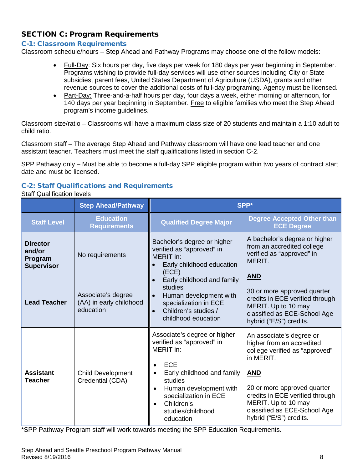# <span id="page-7-0"></span>SECTION C: Program Requirements

#### <span id="page-7-1"></span>C-1: Classroom Requirements

Classroom schedule/hours – Step Ahead and Pathway Programs may choose one of the follow models:

- Full-Day: Six hours per day, five days per week for 180 days per year beginning in September. Programs wishing to provide full-day services will use other sources including City or State subsidies, parent fees, United States Department of Agriculture (USDA), grants and other revenue sources to cover the additional costs of full-day programing. Agency must be licensed.
- Part-Day: Three-and-a-half hours per day, four days a week, either morning or afternoon, for 140 days per year beginning in September. Free to eligible families who meet the Step Ahead program's income guidelines.

Classroom size/ratio – Classrooms will have a maximum class size of 20 students and maintain a 1:10 adult to child ratio.

Classroom staff – The average Step Ahead and Pathway classroom will have one lead teacher and one assistant teacher. Teachers must meet the staff qualifications listed in section C-2.

SPP Pathway only – Must be able to become a full-day SPP eligible program within two years of contract start date and must be licensed.

### <span id="page-7-2"></span>C-2: Staff Qualifications and Requirements

#### Staff Qualification levels

|                                                           | <b>Step Ahead/Pathway</b>                                  | SPP*                                                                                                                                                                                                                                                                    |                                                                                                                                                                                                                                                                        |  |  |
|-----------------------------------------------------------|------------------------------------------------------------|-------------------------------------------------------------------------------------------------------------------------------------------------------------------------------------------------------------------------------------------------------------------------|------------------------------------------------------------------------------------------------------------------------------------------------------------------------------------------------------------------------------------------------------------------------|--|--|
| <b>Staff Level</b>                                        | <b>Education</b><br><b>Requirements</b>                    | <b>Qualified Degree Major</b>                                                                                                                                                                                                                                           | <b>Degree Accepted Other than</b><br><b>ECE Degree</b>                                                                                                                                                                                                                 |  |  |
| <b>Director</b><br>and/or<br>Program<br><b>Supervisor</b> | No requirements                                            | Bachelor's degree or higher<br>verified as "approved" in<br>MERIT in:<br>Early childhood education<br>(ECE)                                                                                                                                                             | A bachelor's degree or higher<br>from an accredited college<br>verified as "approved" in<br>MERIT.<br><b>AND</b>                                                                                                                                                       |  |  |
| <b>Lead Teacher</b>                                       | Associate's degree<br>(AA) in early childhood<br>education | Early childhood and family<br>studies<br>Human development with<br>specialization in ECE<br>Children's studies /<br>$\bullet$<br>childhood education                                                                                                                    | 30 or more approved quarter<br>credits in ECE verified through<br>MERIT. Up to 10 may<br>classified as ECE-School Age<br>hybrid ("E/S") credits.                                                                                                                       |  |  |
| <b>Assistant</b><br><b>Teacher</b>                        | <b>Child Development</b><br>Credential (CDA)               | Associate's degree or higher<br>verified as "approved" in<br>MERIT in:<br><b>ECE</b><br>Early childhood and family<br>$\bullet$<br>studies<br>Human development with<br>$\bullet$<br>specialization in ECE<br>Children's<br>$\bullet$<br>studies/childhood<br>education | An associate's degree or<br>higher from an accredited<br>college verified as "approved"<br>in MERIT.<br><b>AND</b><br>20 or more approved quarter<br>credits in ECE verified through<br>MERIT. Up to 10 may<br>classified as ECE-School Age<br>hybrid ("E/S") credits. |  |  |

\*SPP Pathway Program staff will work towards meeting the SPP Education Requirements.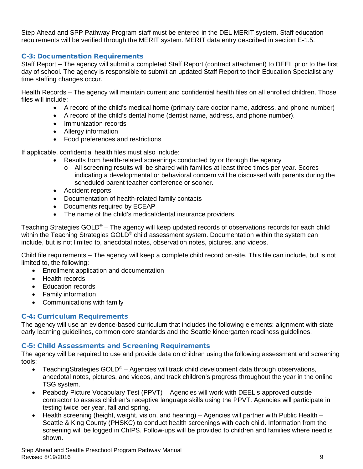Step Ahead and SPP Pathway Program staff must be entered in the DEL MERIT system. Staff education requirements will be verified through the MERIT system. MERIT data entry described in section E-1.5.

#### <span id="page-8-0"></span>C-3: Documentation Requirements

Staff Report – The agency will submit a completed Staff Report (contract attachment) to DEEL prior to the first day of school. The agency is responsible to submit an updated Staff Report to their Education Specialist any time staffing changes occur.

Health Records – The agency will maintain current and confidential health files on all enrolled children. Those files will include:

- A record of the child's medical home (primary care doctor name, address, and phone number)
- A record of the child's dental home (dentist name, address, and phone number).
- Immunization records
- Allergy information
- Food preferences and restrictions

If applicable, confidential health files must also include:

- Results from health-related screenings conducted by or through the agency
	- o All screening results will be shared with families at least three times per year. Scores indicating a developmental or behavioral concern will be discussed with parents during the scheduled parent teacher conference or sooner.
- Accident reports
- Documentation of health-related family contacts
- Documents required by ECEAP
- The name of the child's medical/dental insurance providers.

Teaching Strategies GOLD<sup>®</sup> – The agency will keep updated records of observations records for each child within the Teaching Strategies GOLD<sup>®</sup> child assessment system. Documentation within the system can include, but is not limited to, anecdotal notes, observation notes, pictures, and videos.

Child file requirements – The agency will keep a complete child record on-site. This file can include, but is not limited to, the following:

- Enrollment application and documentation
- Health records
- Education records
- Family information
- Communications with family

#### <span id="page-8-1"></span>C-4: Curriculum Requirements

The agency will use an evidence-based curriculum that includes the following elements: alignment with state early learning guidelines, common core standards and the Seattle kindergarten readiness guidelines.

#### <span id="page-8-2"></span>C-5: Child Assessments and Screening Requirements

The agency will be required to use and provide data on children using the following assessment and screening tools:

- Teaching Strategies GOLD<sup>®</sup> Agencies will track child development data through observations, anecdotal notes, pictures, and videos, and track children's progress throughout the year in the online TSG system.
- Peabody Picture Vocabulary Test (PPVT) Agencies will work with DEEL's approved outside contractor to assess children's receptive language skills using the PPVT. Agencies will participate in testing twice per year, fall and spring.
- Health screening (height, weight, vision, and hearing) Agencies will partner with Public Health Seattle & King County (PHSKC) to conduct health screenings with each child. Information from the screening will be logged in ChIPS. Follow-ups will be provided to children and families where need is shown.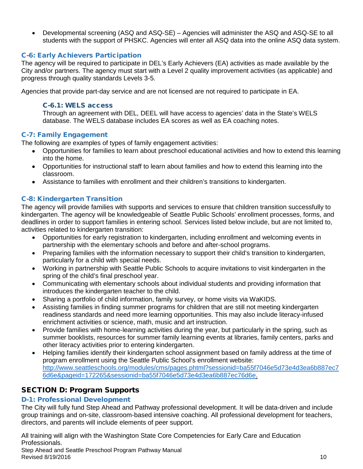• Developmental screening (ASQ and ASQ-SE) – Agencies will administer the ASQ and ASQ-SE to all students with the support of PHSKC. Agencies will enter all ASQ data into the online ASQ data system.

## <span id="page-9-0"></span>C-6: Early Achievers Participation

The agency will be required to participate in DEL's Early Achievers (EA) activities as made available by the City and/or partners. The agency must start with a Level 2 quality improvement activities (as applicable) and progress through quality standards Levels 3-5.

Agencies that provide part-day service and are not licensed are not required to participate in EA.

#### C-6.1: WELS access

Through an agreement with DEL, DEEL will have access to agencies' data in the State's WELS database. The WELS database includes EA scores as well as EA coaching notes.

#### <span id="page-9-1"></span>C-7: Family Engagement

The following are examples of types of family engagement activities:

- Opportunities for families to learn about preschool educational activities and how to extend this learning into the home.
- Opportunities for instructional staff to learn about families and how to extend this learning into the classroom.
- Assistance to families with enrollment and their children's transitions to kindergarten.

### <span id="page-9-2"></span>C-8: Kindergarten Transition

The agency will provide families with supports and services to ensure that children transition successfully to kindergarten. The agency will be knowledgeable of Seattle Public Schools' enrollment processes, forms, and deadlines in order to support families in entering school. Services listed below include, but are not limited to, activities related to kindergarten transition:

- Opportunities for early registration to kindergarten, including enrollment and welcoming events in partnership with the elementary schools and before and after-school programs.
- Preparing families with the information necessary to support their child's transition to kindergarten, particularly for a child with special needs.
- Working in partnership with Seattle Public Schools to acquire invitations to visit kindergarten in the spring of the child's final preschool year.
- Communicating with elementary schools about individual students and providing information that introduces the kindergarten teacher to the child.
- Sharing a portfolio of child information, family survey, or home visits via WaKIDS.
- Assisting families in finding summer programs for children that are still not meeting kindergarten readiness standards and need more learning opportunities. This may also include literacy-infused enrichment activities or science, math, music and art instruction.
- Provide families with home-learning activities during the year, but particularly in the spring, such as summer booklists, resources for summer family learning events at libraries, family centers, parks and other literacy activities prior to entering kindergarten.
- Helping families identify their kindergarten school assignment based on family address at the time of program enrollment using the Seattle Public School's enrollment website: [http://www.seattleschools.org/modules/cms/pages.phtml?sessionid=ba55f7046e5d73e4d3ea6b887ec7](http://www.seattleschools.org/modules/cms/pages.phtml?sessionid=ba55f7046e5d73e4d3ea6b887ec76d6e&pageid=172265&sessionid=ba55f7046e5d73e4d3ea6b887ec76d6e) [6d6e&pageid=172265&sessionid=ba55f7046e5d73e4d3ea6b887ec76d6e.](http://www.seattleschools.org/modules/cms/pages.phtml?sessionid=ba55f7046e5d73e4d3ea6b887ec76d6e&pageid=172265&sessionid=ba55f7046e5d73e4d3ea6b887ec76d6e)

## <span id="page-9-3"></span>SECTION D: Program Supports

#### <span id="page-9-4"></span>D-1: Professional Development

The City will fully fund Step Ahead and Pathway professional development. It will be data-driven and include group trainings and on-site, classroom-based intensive coaching. All professional development for teachers, directors, and parents will include elements of peer support.

Step Ahead and Seattle Preschool Program Pathway Manual  $\blacksquare$ Revised 8/19/2016  $\blacksquare$  10 All training will align with the Washington State Core Competencies for Early Care and Education Professionals.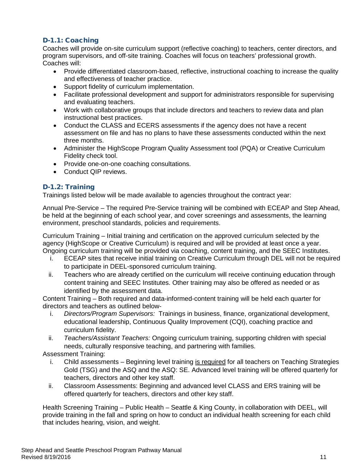# <span id="page-10-0"></span>D-1.1: Coaching

Coaches will provide on-site curriculum support (reflective coaching) to teachers, center directors, and program supervisors, and off-site training. Coaches will focus on teachers' professional growth. Coaches will:

- Provide differentiated classroom-based, reflective, instructional coaching to increase the quality and effectiveness of teacher practice.
- Support fidelity of curriculum implementation.
- Facilitate professional development and support for administrators responsible for supervising and evaluating teachers.
- Work with collaborative groups that include directors and teachers to review data and plan instructional best practices.
- Conduct the CLASS and ECERS assessments if the agency does not have a recent assessment on file and has no plans to have these assessments conducted within the next three months.
- Administer the HighScope Program Quality Assessment tool (PQA) or Creative Curriculum Fidelity check tool.
- Provide one-on-one coaching consultations.
- Conduct QIP reviews.

#### <span id="page-10-1"></span>D-1.2: Training

Trainings listed below will be made available to agencies throughout the contract year:

Annual Pre-Service – The required Pre-Service training will be combined with ECEAP and Step Ahead, be held at the beginning of each school year, and cover screenings and assessments, the learning environment, preschool standards, policies and requirements.

Curriculum Training – Initial training and certification on the approved curriculum selected by the agency (HighScope or Creative Curriculum) is required and will be provided at least once a year. Ongoing curriculum training will be provided via coaching, content training, and the SEEC Institutes.

- i. ECEAP sites that receive initial training on Creative Curriculum through DEL will not be required to participate in DEEL-sponsored curriculum training.
- ii. Teachers who are already certified on the curriculum will receive continuing education through content training and SEEC Institutes. Other training may also be offered as needed or as identified by the assessment data.

Content Training – Both required and data-informed-content training will be held each quarter for directors and teachers as outlined below-

- i. *Directors/Program Supervisors:* Trainings in business, finance, organizational development, educational leadership, Continuous Quality Improvement (CQI), coaching practice and curriculum fidelity.
- ii. *Teachers/Assistant Teachers:* Ongoing curriculum training, supporting children with special needs, culturally responsive teaching, and partnering with families.

Assessment Training:

- i. Child assessments Beginning level training is required for all teachers on Teaching Strategies Gold (TSG) and the ASQ and the ASQ: SE. Advanced level training will be offered quarterly for teachers, directors and other key staff.
- ii. Classroom Assessments: Beginning and advanced level CLASS and ERS training will be offered quarterly for teachers, directors and other key staff.

Health Screening Training – Public Health – Seattle & King County, in collaboration with DEEL, will provide training in the fall and spring on how to conduct an individual health screening for each child that includes hearing, vision, and weight.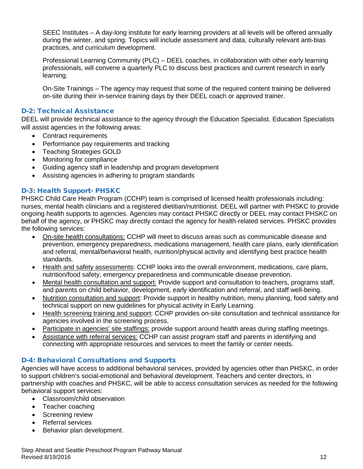SEEC Institutes – A day-long institute for early learning providers at all levels will be offered annually during the winter, and spring. Topics will include assessment and data, culturally relevant anti-bias practices, and curriculum development.

Professional Learning Community (PLC) – DEEL coaches, in collaboration with other early learning professionals, will convene a quarterly PLC to discuss best practices and current research in early learning.

On-Site Trainings – The agency may request that some of the required content training be delivered on-site during their in-service training days by their DEEL coach or approved trainer.

#### <span id="page-11-0"></span>D-2: Technical Assistance

DEEL will provide technical assistance to the agency through the Education Specialist. Education Specialists will assist agencies in the following areas:

- Contract requirements
- Performance pay requirements and tracking
- Teaching Strategies GOLD
- Monitoring for compliance
- Guiding agency staff in leadership and program development
- Assisting agencies in adhering to program standards

#### <span id="page-11-1"></span>D-3: Health Support- PHSKC

PHSKC Child Care Heath Program (CCHP) team is comprised of licensed health professionals including: nurses, mental health clinicians and a registered dietitian/nutritionist. DEEL will partner with PHSKC to provide ongoing health supports to agencies. Agencies may contact PHSKC directly or DEEL may contact PHSKC on behalf of the agency, or PHSKC may directly contact the agency for health-related services. PHSKC provides the following services:

- On-site health consultations: CCHP will meet to discuss areas such as communicable disease and prevention, emergency preparedness, medications management, health care plans, early identification and referral, mental/behavioral health, nutrition/physical activity and identifying best practice health standards.
- Health and safety assessments: CCHP looks into the overall environment, medications, care plans, nutrition/food safety, emergency preparedness and communicable disease prevention.
- Mental health consultation and support: Provide support and consultation to teachers, programs staff, and parents on child behavior, development, early identification and referral, and staff well-being.
- Nutrition consultation and support: Provide support in healthy nutrition, menu planning, food safety and technical support on new guidelines for physical activity in Early Learning.
- Health screening training and support: CCHP provides on-site consultation and technical assistance for agencies involved in the screening process.
- Participate in agencies' site staffings: provide support around health areas during staffing meetings.
- Assistance with referral services: CCHP can assist program staff and parents in identifying and connecting with appropriate resources and services to meet the family or center needs.

#### <span id="page-11-2"></span>D-4: Behavioral Consultations and Supports

Agencies will have access to additional behavioral services, provided by agencies other than PHSKC, in order to support children's social-emotional and behavioral development. Teachers and center directors, in partnership with coaches and PHSKC, will be able to access consultation services as needed for the following behavioral support services:

- Classroom/child observation
- Teacher coaching
- Screening review
- Referral services
- Behavior plan development.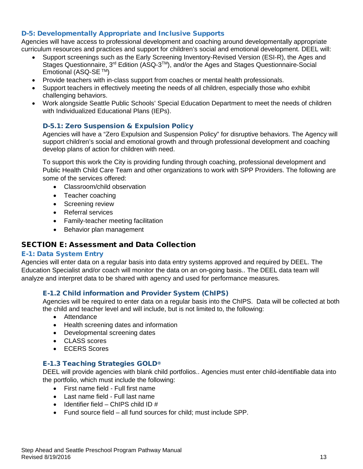#### <span id="page-12-0"></span>D-5: Developmentally Appropriate and Inclusive Supports

Agencies will have access to professional development and coaching around developmentally appropriate curriculum resources and practices and support for children's social and emotional development. DEEL will:

- Support screenings such as the Early Screening Inventory-Revised Version (ESI-R), the Ages and Stages Questionnaire, 3<sup>rd</sup> Edition (ASQ-3<sup>TM</sup>), and/or the Ages and Stages Questionnaire-Social Emotional (ASQ-SE TM)
- Provide teachers with in-class support from coaches or mental health professionals.
- Support teachers in effectively meeting the needs of all children, especially those who exhibit challenging behaviors.
- Work alongside Seattle Public Schools' Special Education Department to meet the needs of children with Individualized Educational Plans (IEPs).

#### <span id="page-12-1"></span>D-5.1: Zero Suspension & Expulsion Policy

Agencies will have a "Zero Expulsion and Suspension Policy" for disruptive behaviors. The Agency will support children's social and emotional growth and through professional development and coaching develop plans of action for children with need.

To support this work the City is providing funding through coaching, professional development and Public Health Child Care Team and other organizations to work with SPP Providers. The following are some of the services offered:

- Classroom/child observation
- Teacher coaching
- Screening review
- Referral services
- Family-teacher meeting facilitation
- Behavior plan management

#### <span id="page-12-2"></span>SECTION E: Assessment and Data Collection

#### <span id="page-12-3"></span>E-1: Data System Entry

Agencies will enter data on a regular basis into data entry systems approved and required by DEEL. The Education Specialist and/or coach will monitor the data on an on-going basis.. The DEEL data team will analyze and interpret data to be shared with agency and used for performance measures.

#### <span id="page-12-4"></span>E-1.2 Child information and Provider System (ChIPS)

Agencies will be required to enter data on a regular basis into the ChIPS. Data will be collected at both the child and teacher level and will include, but is not limited to, the following:

- Attendance
- Health screening dates and information
- Developmental screening dates
- CLASS scores
- ECERS Scores

#### <span id="page-12-5"></span>E-1.3 Teaching Strategies GOLD®

DEEL will provide agencies with blank child portfolios.. Agencies must enter child-identifiable data into the portfolio, which must include the following:

- First name field Full first name
- Last name field Full last name
- Identifier field ChIPS child ID  $#$
- Fund source field all fund sources for child; must include SPP.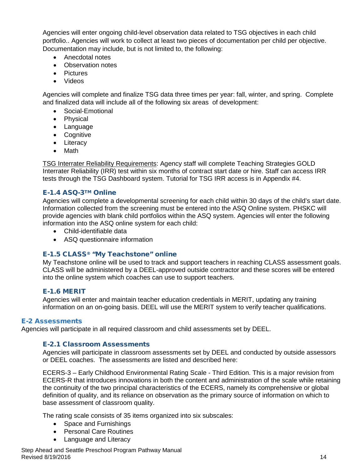Agencies will enter ongoing child-level observation data related to TSG objectives in each child portfolio.. Agencies will work to collect at least two pieces of documentation per child per objective. Documentation may include, but is not limited to, the following:

- Anecdotal notes
- Observation notes
- Pictures
- Videos

Agencies will complete and finalize TSG data three times per year: fall, winter, and spring. Complete and finalized data will include all of the following six areas of development:

- Social-Emotional
- Physical
- Language
- Cognitive
- Literacy
- Math

TSG Interrater Reliability Requirements: Agency staff will complete Teaching Strategies GOLD Interrater Reliability (IRR) test within six months of contract start date or hire. Staff can access IRR tests through the TSG Dashboard system. Tutorial for TSG IRR access is in Appendix #4.

#### <span id="page-13-0"></span>E-1.4 ASQ-3TM Online

Agencies will complete a developmental screening for each child within 30 days of the child's start date. Information collected from the screening must be entered into the ASQ Online system. PHSKC will provide agencies with blank child portfolios within the ASQ system. Agencies will enter the following information into the ASQ online system for each child:

- Child-identifiable data
- ASQ questionnaire information

#### <span id="page-13-1"></span>E-1.5 CLASS® "My Teachstone" online

My Teachstone online will be used to track and support teachers in reaching CLASS assessment goals. CLASS will be administered by a DEEL-approved outside contractor and these scores will be entered into the online system which coaches can use to support teachers.

#### <span id="page-13-2"></span>E-1.6 MERIT

Agencies will enter and maintain teacher education credentials in MERIT, updating any training information on an on-going basis. DEEL will use the MERIT system to verify teacher qualifications.

#### <span id="page-13-3"></span>E-2 Assessments

<span id="page-13-4"></span>Agencies will participate in all required classroom and child assessments set by DEEL.

#### E-2.1 Classroom Assessments

Agencies will participate in classroom assessments set by DEEL and conducted by outside assessors or DEEL coaches. The assessments are listed and described here:

ECERS-3 – Early Childhood Environmental Rating Scale - Third Edition. This is a major revision from ECERS-R that introduces innovations in both the content and administration of the scale while retaining the continuity of the two principal characteristics of the ECERS, namely its comprehensive or global definition of quality, and its reliance on observation as the primary source of information on which to base assessment of classroom quality.

The rating scale consists of 35 items organized into six subscales:

- Space and Furnishings
- Personal Care Routines
- Language and Literacy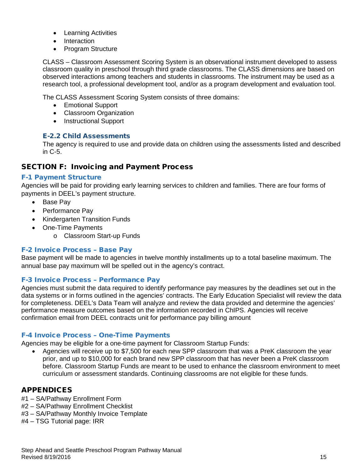- Learning Activities
- Interaction
- Program Structure

CLASS – Classroom Assessment Scoring System is an observational instrument developed to assess classroom quality in preschool through third grade classrooms. The CLASS dimensions are based on observed interactions among teachers and students in classrooms. The instrument may be used as a research tool, a professional development tool, and/or as a program development and evaluation tool.

The CLASS Assessment Scoring System consists of three domains:

- Emotional Support
- Classroom Organization
- Instructional Support

#### <span id="page-14-0"></span>E-2.2 Child Assessments

The agency is required to use and provide data on children using the assessments listed and described in C-5.

#### <span id="page-14-1"></span>SECTION F: Invoicing and Payment Process

#### <span id="page-14-2"></span>F-1 Payment Structure

Agencies will be paid for providing early learning services to children and families. There are four forms of payments in DEEL's payment structure.

- Base Pay
- Performance Pay
- Kindergarten Transition Funds
- One-Time Payments
	- o Classroom Start-up Funds

#### <span id="page-14-3"></span>F-2 Invoice Process – Base Pay

Base payment will be made to agencies in twelve monthly installments up to a total baseline maximum. The annual base pay maximum will be spelled out in the agency's contract.

#### <span id="page-14-4"></span>F-3 Invoice Process – Performance Pay

Agencies must submit the data required to identify performance pay measures by the deadlines set out in the data systems or in forms outlined in the agencies' contracts. The Early Education Specialist will review the data for completeness. DEEL's Data Team will analyze and review the data provided and determine the agencies' performance measure outcomes based on the information recorded in ChIPS. Agencies will receive confirmation email from DEEL contracts unit for performance pay billing amount

#### <span id="page-14-5"></span>F-4 Invoice Process – One-Time Payments

Agencies may be eligible for a one-time payment for Classroom Startup Funds:

• Agencies will receive up to \$7,500 for each new SPP classroom that was a PreK classroom the year prior, and up to \$10,000 for each brand new SPP classroom that has never been a PreK classroom before. Classroom Startup Funds are meant to be used to enhance the classroom environment to meet curriculum or assessment standards. Continuing classrooms are not eligible for these funds.

#### <span id="page-14-6"></span>APPENDICES

- #1 SA/Pathway Enrollment Form
- #2 SA/Pathway Enrollment Checklist
- #3 SA/Pathway Monthly Invoice Template
- #4 TSG Tutorial page: IRR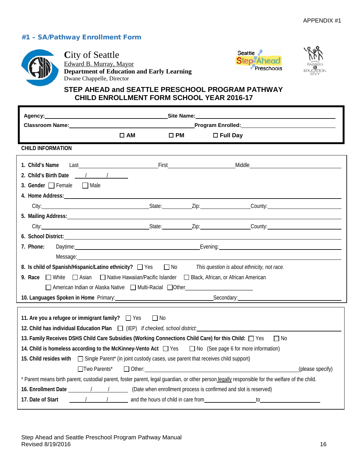## <span id="page-15-0"></span>#1 – SA/Pathway Enrollment Form



**City of Seattle** Edward B. Murray, Mayor **Department of Education and Early Learning** Dwane Chappelle, Director





# **STEP AHEAD and SEATTLE PRESCHOOL PROGRAM PATHWAY CHILD ENROLLMENT FORM SCHOOL YEAR 2016-17**

|                                                                                                                                                                                                                                             |              |                                              | Site Name: the contract of the contract of the contract of the contract of the contract of the contract of the contract of the contract of the contract of the contract of the contract of the contract of the contract of the                                                                         |                  |
|---------------------------------------------------------------------------------------------------------------------------------------------------------------------------------------------------------------------------------------------|--------------|----------------------------------------------|--------------------------------------------------------------------------------------------------------------------------------------------------------------------------------------------------------------------------------------------------------------------------------------------------------|------------------|
| Classroom Name: Name and Separate and Separate and Separate and Separate and Separate and Separate and Separate and Separate and Separate and Separate and Separate and Separate and Separate and Separate and Separate and Se              |              |                                              | Program Enrolled: Manual Manual Manual Manual Manual Manual Manual Manual Manual Manual Manual Manual Manual                                                                                                                                                                                           |                  |
| $\square$ AM                                                                                                                                                                                                                                | $\square$ PM | $\Box$ Full Day                              |                                                                                                                                                                                                                                                                                                        |                  |
| <b>CHILD INFORMATION</b>                                                                                                                                                                                                                    |              |                                              |                                                                                                                                                                                                                                                                                                        |                  |
| 1. Child's Name                                                                                                                                                                                                                             |              | <b>First</b> Part <b>Container Part 2014</b> | Middle <b>Middle Middle Middle</b>                                                                                                                                                                                                                                                                     |                  |
| 2. Child's Birth Date / / /                                                                                                                                                                                                                 |              |                                              |                                                                                                                                                                                                                                                                                                        |                  |
| 3. Gender $\Box$ Female $\Box$ Male                                                                                                                                                                                                         |              |                                              |                                                                                                                                                                                                                                                                                                        |                  |
| 4. Home Address: 1988 and 2008 and 2008 and 2008 and 2008 and 2008 and 2008 and 2008 and 2008 and 2008 and 200                                                                                                                              |              |                                              |                                                                                                                                                                                                                                                                                                        |                  |
| City: City: City: County: County: County: County: County: County: County: County: County: County: County: County: County: County: County: County: County: County: County: County: County: County: County: County: County: Coun              |              |                                              |                                                                                                                                                                                                                                                                                                        |                  |
| 5. Mailing Address: <b>Analyze Address: Analyze Address: Analyze Address: Address: Address: Address: Address: Address: Address: Address: Address: Address: Address: Address: Address: Address: A</b>                                        |              |                                              |                                                                                                                                                                                                                                                                                                        |                  |
| City: City: City: Current County: County: County: County: County: County: County: County: County: County: County: County: County: County: County: County: County: County: County: County: County: County: County: County: Coun              |              |                                              |                                                                                                                                                                                                                                                                                                        |                  |
| 6. School District: <u>Cambridge Community of the School District:</u>                                                                                                                                                                      |              |                                              |                                                                                                                                                                                                                                                                                                        |                  |
| 7. Phone:<br>Daytime: 2008. [2018] Daytime: 2018. [2018] Daytime: 2018. [2018] Daytime: 2018. [2018] Daytime: 2018. [2018] Daytime: 2018. [2018] Daytime: 2018. [2018] Daytime: 2018. [2018] Daytime: 2018. [2018] Daytime: 2018. [2018] Da |              |                                              |                                                                                                                                                                                                                                                                                                        |                  |
|                                                                                                                                                                                                                                             |              |                                              |                                                                                                                                                                                                                                                                                                        |                  |
| 8. Is child of Spanish/Hispanic/Latino ethnicity?<br>This question is about ethnicity, not race.                                                                                                                                            |              |                                              |                                                                                                                                                                                                                                                                                                        |                  |
| 9. Race $\Box$ White<br>$\Box$ Asian<br>□ Native Hawaiian/Pacific Islander □ Black, African, or African American                                                                                                                            |              |                                              |                                                                                                                                                                                                                                                                                                        |                  |
| □ American Indian or Alaska Native □ Multi-Racial □ Other ______________________                                                                                                                                                            |              |                                              |                                                                                                                                                                                                                                                                                                        |                  |
| 10. Languages Spoken in Home Primary: Manual Communication of Secondary: Manual Communication of Secondary:                                                                                                                                 |              |                                              |                                                                                                                                                                                                                                                                                                        |                  |
| 11. Are you a refugee or immigrant family? $\Box$ Yes<br>12. Child has individual Education Plan $\Box$ (IEP) If checked, school district.                                                                                                  | $\Box$ No    |                                              |                                                                                                                                                                                                                                                                                                        |                  |
| 13. Family Receives DSHS Child Care Subsidies (Working Connections Child Care) for this Child: $\Box$ Yes                                                                                                                                   |              |                                              | $\Box$ No                                                                                                                                                                                                                                                                                              |                  |
| 14. Child is homeless according to the McKinney-Vento Act $\Box$ Yes $\Box$ No (See page 6 for more information)                                                                                                                            |              |                                              |                                                                                                                                                                                                                                                                                                        |                  |
| 15. Child resides with $\Box$ Single Parent* (in joint custody cases, use parent that receives child support)                                                                                                                               |              |                                              |                                                                                                                                                                                                                                                                                                        |                  |
| $\Box$ Two Parents*                                                                                                                                                                                                                         |              |                                              |                                                                                                                                                                                                                                                                                                        | (please specify) |
| * Parent means birth parent, custodial parent, foster parent, legal guardian, or other person legally responsible for the welfare of the child.                                                                                             |              |                                              |                                                                                                                                                                                                                                                                                                        |                  |
| 16. Enrollment Date 19. 19. 19. (Date when enrollment process is confirmed and slot is reserved)                                                                                                                                            |              |                                              |                                                                                                                                                                                                                                                                                                        |                  |
| 17. Date of Start                                                                                                                                                                                                                           |              |                                              | $\mathfrak{g}$ to the set of $\mathfrak{g}$ and $\mathfrak{g}$ and $\mathfrak{g}$ and $\mathfrak{g}$ and $\mathfrak{g}$ and $\mathfrak{g}$ and $\mathfrak{g}$ and $\mathfrak{g}$ and $\mathfrak{g}$ and $\mathfrak{g}$ and $\mathfrak{g}$ and $\mathfrak{g}$ and $\mathfrak{g}$ and $\mathfrak{g}$ and |                  |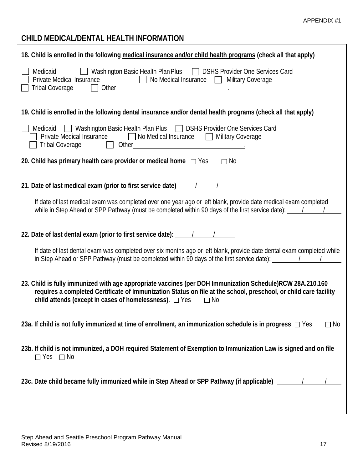# **CHILD MEDICAL/DENTAL HEALTH INFORMATION**

| 18. Child is enrolled in the following medical insurance and/or child health programs (check all that apply)                                                                                                                                                                                                                                                                                                                                                       |
|--------------------------------------------------------------------------------------------------------------------------------------------------------------------------------------------------------------------------------------------------------------------------------------------------------------------------------------------------------------------------------------------------------------------------------------------------------------------|
| Medicaid   Washington Basic Health Plan Plus   DSHS Provider One Services Card<br>Private Medical Insurance<br>□ No Medical Insurance □ Military Coverage<br><b>Tribal Coverage</b>                                                                                                                                                                                                                                                                                |
| 19. Child is enrolled in the following dental insurance and/or dental health programs (check all that apply)                                                                                                                                                                                                                                                                                                                                                       |
| Medicaid Mashington Basic Health Plan Plus DSHS Provider One Services Card<br>Private Medical Insurance <b>D</b> No Medical Insurance D Military Coverage<br>Tribal Coverage 1. Other 1997 Communication Coverage 1. Other 1997 Communication Coverage 1.                                                                                                                                                                                                          |
| 20. Child has primary health care provider or medical home $\Box$ Yes $\Box$ No                                                                                                                                                                                                                                                                                                                                                                                    |
| 21. Date of last medical exam (prior to first service date) $\frac{1}{2}$                                                                                                                                                                                                                                                                                                                                                                                          |
| If date of last medical exam was completed over one year ago or left blank, provide date medical exam completed<br>while in Step Ahead or SPP Pathway (must be completed within 90 days of the first service date): $\frac{1}{\sqrt{1-\frac{1}{1-\frac{1}{1-\frac{1}{1-\frac{1}{1-\frac{1}{1-\frac{1}{1-\frac{1}{1-\frac{1}{1-\frac{1}{1-\frac{1}{1-\frac{1}{1-\frac{1}{1-\frac{1}{1-\frac{1}{1-\frac{1}{1-\frac{1}{1-\frac{1}{1-\frac{1}{1-\frac{1}{1$            |
| 22. Date of last dental exam (prior to first service date): 11. 1                                                                                                                                                                                                                                                                                                                                                                                                  |
| If date of last dental exam was completed over six months ago or left blank, provide date dental exam completed while<br>in Step Ahead or SPP Pathway (must be completed within 90 days of the first service date): $\frac{1}{\sqrt{1-\frac{1}{1-\frac{1}{1-\frac{1}{1-\frac{1}{1-\frac{1}{1-\frac{1}{1-\frac{1}{1-\frac{1}{1-\frac{1}{1-\frac{1}{1-\frac{1}{1-\frac{1}{1-\frac{1}{1-\frac{1}{1-\frac{1}{1-\frac{1}{1-\frac{1}{1-\frac{1}{1-\frac{1}{1-\frac{1}{1$ |
| 23. Child is fully immunized with age appropriate vaccines (per DOH Immunization Schedule)RCW 28A.210.160<br>requires a completed Certificate of Immunization Status on file at the school, preschool, or child care facility<br>child attends (except in cases of homelessness). $\Box$ Yes $\Box$ No                                                                                                                                                             |
| 23a. If child is not fully immunized at time of enrollment, an immunization schedule is in progress $\Box$ Yes<br>$\Box$ No                                                                                                                                                                                                                                                                                                                                        |
| 23b. If child is not immunized, a DOH required Statement of Exemption to Immunization Law is signed and on file<br>$\Box$ Yes $\Box$ No                                                                                                                                                                                                                                                                                                                            |
| 23c. Date child became fully immunized while in Step Ahead or SPP Pathway (if applicable) _________/                                                                                                                                                                                                                                                                                                                                                               |
|                                                                                                                                                                                                                                                                                                                                                                                                                                                                    |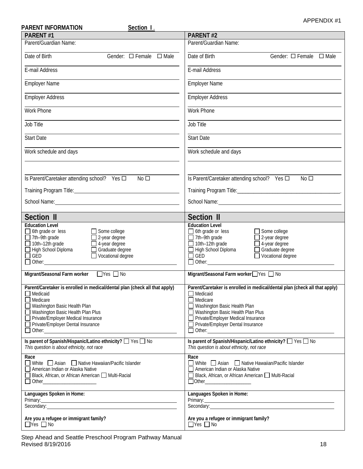| <b>PARENT INFORMATION</b><br>Section I.                                                                                                                                                                                                                                                                          | APPENDIX #1                                                                                                                                                                                                                                                                                                                                       |
|------------------------------------------------------------------------------------------------------------------------------------------------------------------------------------------------------------------------------------------------------------------------------------------------------------------|---------------------------------------------------------------------------------------------------------------------------------------------------------------------------------------------------------------------------------------------------------------------------------------------------------------------------------------------------|
| <b>PARENT#1</b>                                                                                                                                                                                                                                                                                                  | PARENT#2                                                                                                                                                                                                                                                                                                                                          |
| Parent/Guardian Name:                                                                                                                                                                                                                                                                                            | Parent/Guardian Name:                                                                                                                                                                                                                                                                                                                             |
| Date of Birth<br>Gender: $\Box$ Female $\Box$ Male                                                                                                                                                                                                                                                               | Date of Birth<br>Gender: $\Box$ Female $\Box$ Male                                                                                                                                                                                                                                                                                                |
| E-mail Address                                                                                                                                                                                                                                                                                                   | E-mail Address                                                                                                                                                                                                                                                                                                                                    |
| <b>Employer Name</b>                                                                                                                                                                                                                                                                                             | <b>Employer Name</b>                                                                                                                                                                                                                                                                                                                              |
| <b>Employer Address</b>                                                                                                                                                                                                                                                                                          | <b>Employer Address</b>                                                                                                                                                                                                                                                                                                                           |
| <b>Work Phone</b>                                                                                                                                                                                                                                                                                                | Work Phone                                                                                                                                                                                                                                                                                                                                        |
| Job Title                                                                                                                                                                                                                                                                                                        | Job Title                                                                                                                                                                                                                                                                                                                                         |
| <b>Start Date</b>                                                                                                                                                                                                                                                                                                | <b>Start Date</b>                                                                                                                                                                                                                                                                                                                                 |
| Work schedule and days                                                                                                                                                                                                                                                                                           | Work schedule and days                                                                                                                                                                                                                                                                                                                            |
|                                                                                                                                                                                                                                                                                                                  |                                                                                                                                                                                                                                                                                                                                                   |
| Is Parent/Caretaker attending school? Yes □<br>No <sub>1</sub>                                                                                                                                                                                                                                                   | Is Parent/Caretaker attending school? Yes □<br>No <sub>1</sub>                                                                                                                                                                                                                                                                                    |
|                                                                                                                                                                                                                                                                                                                  |                                                                                                                                                                                                                                                                                                                                                   |
|                                                                                                                                                                                                                                                                                                                  |                                                                                                                                                                                                                                                                                                                                                   |
| Section II                                                                                                                                                                                                                                                                                                       | Section II                                                                                                                                                                                                                                                                                                                                        |
| <b>Education Level</b><br>$\Box$ 6th grade or less<br>$\Box$ Some college<br>$\Box$ 7th-9th grade<br>$\Box$ 2-year degree<br>$\Box$ 10th-12th grade<br>$\Box$ 4-year degree<br>High School Diploma<br>Graduate degree<br>Vocational degree<br>$\Box$ GED<br>└── GED<br>└── Other:_______________________________ | <b>Education Level</b><br>$\Box$ 6th grade or less<br>$\Box$ Some college<br>$\Box$ 7th-9th grade<br>$\Box$ 2-year degree<br>$\Box$ 10th-12th grade<br>4-year degree<br>High School Diploma<br>Graduate degree<br>Vocational degree<br>$\Box$ GED<br><b>□ GED</b><br>□ Other:__________________<br><u>and the state of the state of the state</u> |
| Migrant/Seasonal Farm worker TYes No                                                                                                                                                                                                                                                                             | Migrant/Seasonal Farm worker□Yes □ No                                                                                                                                                                                                                                                                                                             |
| Parent/Caretaker is enrolled in medical/dental plan (check all that apply)<br>$\Box$ Medicaid<br>$\Box$ Medicare<br>Washington Basic Health Plan<br>Washington Basic Health Plan Plus<br>Private/Employer Medical Insurance<br>Private/Employer Dental Insurance                                                 | Parent/Caretaker is enrolled in medical/dental plan (check all that apply)<br>$\Box$ Medicaid<br>$\Box$ Medicare<br>Washington Basic Health Plan<br>Washington Basic Health Plan Plus<br>Private/Employer Medical Insurance<br>Private/Employer Dental Insurance                                                                                  |
| Is parent of Spanish/Hispanic/Latino ethnicity? □ Yes □ No<br>This question is about ethnicity, not race                                                                                                                                                                                                         | Is parent of Spanish/Hispanic/Latino ethnicity? □ Yes □ No<br>This question is about ethnicity, not race                                                                                                                                                                                                                                          |
| Race<br>■ White Asian ■ Native Hawaiian/Pacific Islander<br>American Indian or Alaska Native<br>Black, African, or African American I Multi-Racial<br>Other_________________________                                                                                                                             | Race<br>■ White Asian ■ Native Hawaiian/Pacific Islander<br>American Indian or Alaska Native<br>□ Black, African, or African American □ Multi-Racial<br>$\Box$ Other_____________________                                                                                                                                                         |
| Languages Spoken in Home:<br>$Primary:$ $\overline{\phantom{a}}$<br>Secondary: example and a secondary:                                                                                                                                                                                                          | Languages Spoken in Home:<br>Primary:<br>Secondary:<br>Secondary:                                                                                                                                                                                                                                                                                 |
| Are you a refugee or immigrant family?<br>$\Box$ Yes $\Box$ No                                                                                                                                                                                                                                                   | Are you a refugee or immigrant family?<br>$\Box$ Yes $\Box$ No                                                                                                                                                                                                                                                                                    |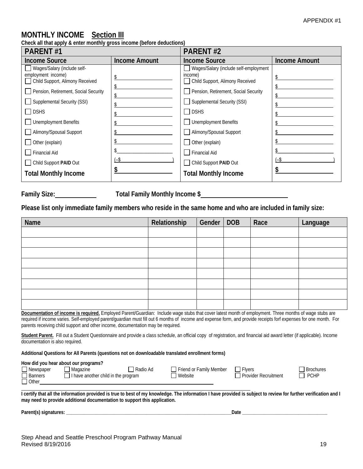# **MONTHLY INCOME Section III**

**Check all that apply & enter monthly gross income (before deductions)**

| <b>PARENT#1</b>                                                                                                                                                                                                                                                                                            |                      | <b>PARENT#2</b>                                                                                                                                                                                                                                                                                           |                      |
|------------------------------------------------------------------------------------------------------------------------------------------------------------------------------------------------------------------------------------------------------------------------------------------------------------|----------------------|-----------------------------------------------------------------------------------------------------------------------------------------------------------------------------------------------------------------------------------------------------------------------------------------------------------|----------------------|
| <b>Income Source</b>                                                                                                                                                                                                                                                                                       | <b>Income Amount</b> | <b>Income Source</b>                                                                                                                                                                                                                                                                                      | <b>Income Amount</b> |
| Wages/Salary (include self-<br>employment income)<br>Child Support, Alimony Received<br>Pension, Retirement, Social Security<br>Supplemental Security (SSI)<br>$\Box$ DSHS<br><b>Unemployment Benefits</b><br>Alimony/Spousal Support<br>Other (explain)<br><b>Financial Aid</b><br>Child Support PAID Out | (-\$                 | Wages/Salary (include self-employment<br>income)<br>Child Support, Alimony Received<br>Pension, Retirement, Social Security<br>Supplemental Security (SSI)<br>$\Box$ DSHS<br><b>Unemployment Benefits</b><br>Alimony/Spousal Support<br>Other (explain)<br><b>Financial Aid</b><br>Child Support PAID Out | (-\$                 |
| <b>Total Monthly Income</b>                                                                                                                                                                                                                                                                                |                      | <b>Total Monthly Income</b>                                                                                                                                                                                                                                                                               |                      |

**Family Size: Total Family Monthly Income \$**

**Please list only immediate family members who reside in the same home and who are included in family size:**

| Name | Relationship | Gender   DOB | Race | Language |
|------|--------------|--------------|------|----------|
|      |              |              |      |          |
|      |              |              |      |          |
|      |              |              |      |          |
|      |              |              |      |          |
|      |              |              |      |          |
|      |              |              |      |          |
|      |              |              |      |          |
|      |              |              |      |          |

**Documentation of income is required.** Employed Parent/Guardian: Include wage stubs that cover latest month of employment. Three months of wage stubs are required if income varies. Self-employed parent/guardian must fill out 6 months of income and expense form, and provide receipts forf expenses for one month. For parents receiving child support and other income, documentation may be required.

**Student Parent.** Fill out a Student Questionnaire and provide a class schedule, an official copy of registration, and financial aid award letter (if applicable). Income documentation is also required.

**Additional Questions for All Parents (questions not on downloadable translated enrollment forms)**

#### **How did you hear about our programs?**

| I Newspaper    | Magazine                            | Radio Ad | Friend or Family Member | <b>F</b> vers        | <b>Brochures</b> |
|----------------|-------------------------------------|----------|-------------------------|----------------------|------------------|
| <b>Banners</b> | I have another child in the program |          | Website                 | Provider Recruitment | <b>PCHP</b>      |
| <b>Other</b>   |                                     |          |                         |                      |                  |

**I certify that all the information provided is true to best of my knowledge. The information I have provided is subject to review for further verification and I may need to provide additional documentation to support this application.**

Parent(s) signatures: **Example 2** and the set of the set of the set of the set of the set of the set of the set of the set of the set of the set of the set of the set of the set of the set of the set of the set of the set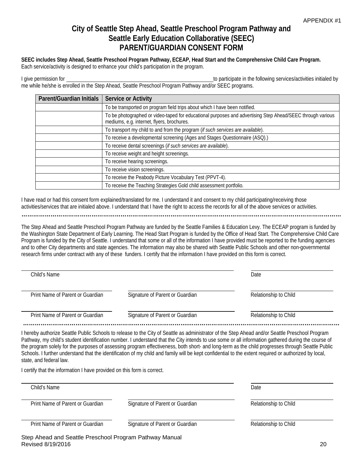# **City of Seattle Step Ahead, Seattle Preschool Program Pathway and Seattle Early Education Collaborative (SEEC) PARENT/GUARDIAN CONSENT FORM**

**SEEC includes Step Ahead, Seattle Preschool Program Pathway, ECEAP, Head Start and the Comprehensive Child Care Program.**

Each service/activity is designed to enhance your child's participation in the program.

I give permission for the following services/activities initialed by the following services/activities initialed by me while he/she is enrolled in the Step Ahead, Seattle Preschool Program Pathway and/or SEEC programs.

| Parent/Guardian Initials | Service or Activity                                                                                                                                      |
|--------------------------|----------------------------------------------------------------------------------------------------------------------------------------------------------|
|                          | To be transported on program field trips about which I have been notified.                                                                               |
|                          | To be photographed or video-taped for educational purposes and advertising Step Ahead/SEEC through various<br>mediums, e.g. internet, flyers, brochures. |
|                          | To transport my child to and from the program (if such services are available).                                                                          |
|                          | To receive a developmental screening (Ages and Stages Questionnaire (ASQ).)                                                                              |
|                          | To receive dental screenings (if such services are available).                                                                                           |
|                          | To receive weight and height screenings.                                                                                                                 |
|                          | To receive hearing screenings.                                                                                                                           |
|                          | To receive vision screenings.                                                                                                                            |
|                          | To receive the Peabody Picture Vocabulary Test (PPVT-4).                                                                                                 |
|                          | To receive the Teaching Strategies Gold child assessment portfolio.                                                                                      |

I have read or had this consent form explained/translated for me. I understand it and consent to my child participating/receiving those activities/services that are initialed above. I understand that I have the right to access the records for all of the above services or activities.

**………………………………………………………..………………….……………………………………………………………………**

The Step Ahead and Seattle Preschool Program Pathway are funded by the Seattle Families & Education Levy. The ECEAP program is funded by the Washington State Department of Early Learning. The Head Start Program is funded by the Office of Head Start. The Comprehensive Child Care Program is funded by the City of Seattle. I understand that some or all of the information I have provided must be reported to the funding agencies and to other City departments and state agencies. The information may also be shared with Seattle Public Schools and other non-governmental research firms under contract with any of these funders. I certify that the information I have provided on this form is correct.

| Child's Name                     |                                 | Date                  |
|----------------------------------|---------------------------------|-----------------------|
| Print Name of Parent or Guardian | Signature of Parent or Guardian | Relationship to Child |
| Print Name of Parent or Guardian | Signature of Parent or Guardian | Relationship to Child |

I hereby authorize Seattle Public Schools to release to the City of Seattle as administrator of the Step Ahead and/or Seattle Preschool Program Pathway, my child's student identification number. I understand that the City intends to use some or all information gathered during the course of the program solely for the purposes of assessing program effectiveness, both short- and long-term as the child progresses through Seattle Public Schools. I further understand that the identification of my child and family will be kept confidential to the extent required or authorized by local, state, and federal law.

I certify that the information I have provided on this form is correct.

| Child's Name                     |                                 | Date                  |
|----------------------------------|---------------------------------|-----------------------|
| Print Name of Parent or Guardian | Signature of Parent or Guardian | Relationship to Child |
| Print Name of Parent or Guardian | Signature of Parent or Guardian | Relationship to Child |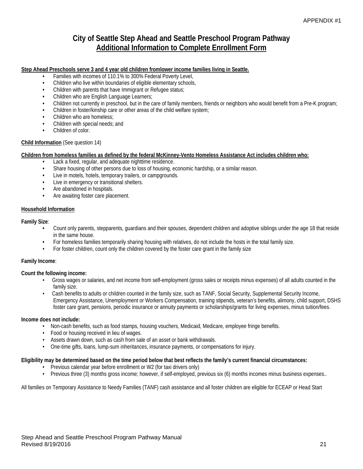# **City of Seattle Step Ahead and Seattle Preschool Program Pathway Additional Information to Complete Enrollment Form**

#### **Step Ahead Preschools serve 3 and 4 year old children fromlower income families living in Seattle.**

- **•** Families with incomes of 110.1% to 300% Federal Poverty Level,
- **•** Children who live within boundaries of eligible elementary schools,
- **•** Children with parents that have Immigrant or Refugee status;
- **•** Children who are English Language Learners;
- **•** Children not currently in preschool, but in the care of family members, friends or neighbors who would benefit from a Pre-K program;
- **•** Children in foster/kinship care or other areas of the child welfare system;
- **•** Children who are homeless;
- **•** Children with special needs; and
- **•** Children of color.

#### **Child Information** (See question 14)

#### **Children from homeless families as defined by the federal McKinney-Vento Homeless Assistance Act includes children who:**

- **•** Lack a fixed, regular, and adequate nighttime residence.
- Share housing of other persons due to loss of housing, economic hardship, or a similar reason.<br>• I live in motels, botels, temporary trailers, or campgrounds
- **•** Live in motels, hotels, temporary trailers, or campgrounds.
- **•** Live in emergency or transitional shelters.
- **•** Are abandoned in hospitals.
- **•** Are awaiting foster care placement.

#### **Household Information**

#### **Family Size**:

- **•** Count only parents, stepparents, guardians and their spouses, dependent children and adoptive siblings under the age 18 that reside in the same house.
- **•** For homeless families temporarily sharing housing with relatives, do not include the hosts in the total family size.
- For foster children, count only the children covered by the foster care grant in the family size

#### **Family Income**:

#### **Count the following income:**

- Gross wages or salaries, and net income from self-employment (gross sales or receipts minus expenses) of all adults counted in the family size.
- Cash benefits to adults or children counted in the family size, such as TANF, Social Security, Supplemental Security Income, Emergency Assistance, Unemployment or Workers Compensation, training stipends, veteran's benefits, alimony, child support, DSHS foster care grant, pensions, periodic insurance or annuity payments or scholarships/grants for living expenses, minus tuition/fees.

#### **Income does not include:**

- Non-cash benefits, such as food stamps, housing vouchers, Medicaid, Medicare, employee fringe benefits.
- Food or housing received in lieu of wages.
- Assets drawn down, such as cash from sale of an asset or bank withdrawals.
- One-time gifts, loans, lump-sum inheritances, insurance payments, or compensations for injury.

#### **Eligibility may be determined based on the time period below that best reflects the family's current financial circumstances:**

- Previous calendar year before enrollment or W2 (for taxi drivers only)
- Previous three (3) months gross income; however, if self-employed, previous six (6) months incomes minus business expenses..

All families on Temporary Assistance to Needy Families (TANF) cash assistance and all foster children are eligible for ECEAP or Head Start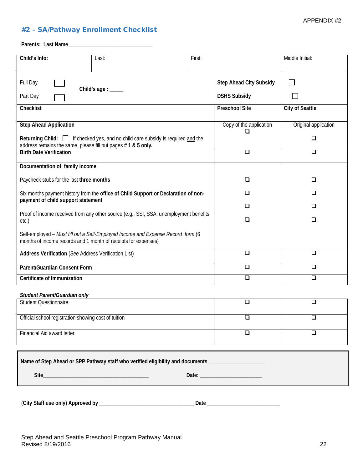#### <span id="page-21-0"></span>#2 – SA/Pathway Enrollment Checklist

**Parents: Last Name\_\_\_\_\_\_\_\_\_\_\_\_\_\_\_\_\_\_\_\_\_\_\_\_\_\_\_\_\_\_\_**

| Child's Info:                                                  | Last:                                                                                  | First: |                                                       | Middle Initial:        |
|----------------------------------------------------------------|----------------------------------------------------------------------------------------|--------|-------------------------------------------------------|------------------------|
| Full Day<br>Part Day                                           | Child's age : _____                                                                    |        | <b>Step Ahead City Subsidy</b><br><b>DSHS Subsidy</b> |                        |
| Checklist                                                      |                                                                                        |        | <b>Preschool Site</b>                                 | <b>City of Seattle</b> |
| <b>Step Ahead Application</b>                                  |                                                                                        |        | Copy of the application                               | Original application   |
| address remains the same, please fill out pages #1 & 5 only.   | Returning Child: $\Box$ If checked yes, and no child care subsidy is required and the  |        | ப                                                     | $\Box$                 |
| <b>Birth Date Verification</b>                                 |                                                                                        |        | $\Box$                                                | $\Box$                 |
| Documentation of family income                                 |                                                                                        |        |                                                       |                        |
| Paycheck stubs for the last three months                       |                                                                                        |        | ❏                                                     | ❏                      |
| payment of child support statement                             | Six months payment history from the office of Child Support or Declaration of non-     |        | ◻                                                     | ❏                      |
|                                                                | Proof of income received from any other source (e.g., SSI, SSA, unemployment benefits, |        | ◻                                                     | ❏                      |
| etc.)                                                          |                                                                                        |        | ❏                                                     | ❏                      |
| months of income records and 1 month of receipts for expenses) | Self-employed - Must fill out a Self-Employed Income and Expense Record form (6        |        |                                                       |                        |
| <b>Address Verification (See Address Verification List)</b>    |                                                                                        |        | $\Box$                                                | □                      |
| Parent/Guardian Consent Form                                   |                                                                                        |        | $\Box$                                                | ◻                      |
| Certificate of Immunization                                    |                                                                                        |        | $\overline{\square}$                                  | $\Box$                 |
| Student Parent/Guardian only                                   |                                                                                        |        |                                                       |                        |
| <b>Student Questionnaire</b>                                   |                                                                                        |        | $\Box$                                                | □                      |
| Official school registration showing cost of tuition           |                                                                                        |        |                                                       |                        |
| Financial Aid award letter                                     |                                                                                        |        | □                                                     | ❏                      |
|                                                                | Name of Step Ahead or SPP Pathway staff who verified eligibility and documents _       |        |                                                       |                        |
|                                                                |                                                                                        |        |                                                       |                        |

(**City Staff use only) Approved by** \_\_\_\_\_\_\_\_\_\_\_\_\_\_\_\_\_\_\_\_\_\_\_\_\_\_\_\_\_\_\_\_\_\_\_ **Date** \_\_\_\_\_\_\_\_\_\_\_\_\_\_\_\_\_\_\_\_\_\_\_\_\_\_\_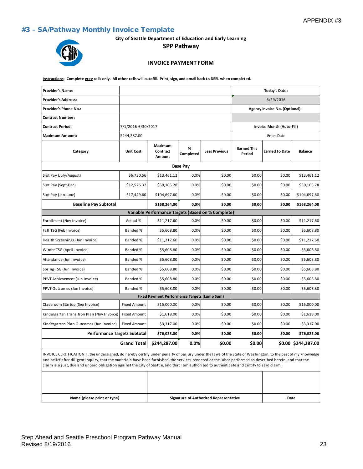#### <span id="page-22-0"></span>#3 – SA/Pathway Monthly Invoice Template

**City of Seattle Department of Education and Early Learning**

**SPP Pathway**

# **INVOICE PAYMENT FORM**

**Instructions: Complete grey cells only. All other cells will autofill. Print, sign, and email back to DEEL when completed.**

| <b>Provider's Name:</b>                                                                                                                                                                                                                                                                                                                                                                                                                                                  |                     |                                              |                 |                                                    |                              | Today's Date:                  |                     |
|--------------------------------------------------------------------------------------------------------------------------------------------------------------------------------------------------------------------------------------------------------------------------------------------------------------------------------------------------------------------------------------------------------------------------------------------------------------------------|---------------------|----------------------------------------------|-----------------|----------------------------------------------------|------------------------------|--------------------------------|---------------------|
| <b>Provider's Address:</b>                                                                                                                                                                                                                                                                                                                                                                                                                                               |                     |                                              |                 |                                                    |                              | 6/29/2016                      |                     |
| Provider's Phone No.:                                                                                                                                                                                                                                                                                                                                                                                                                                                    |                     |                                              |                 |                                                    |                              | Agency Invoice No. (Optional): |                     |
| <b>Contract Number:</b>                                                                                                                                                                                                                                                                                                                                                                                                                                                  |                     |                                              |                 |                                                    |                              |                                |                     |
| <b>Contract Period:</b>                                                                                                                                                                                                                                                                                                                                                                                                                                                  | 7/1/2016-6/30/2017  |                                              |                 |                                                    |                              | Invoice Month (Auto-Fill)      |                     |
| <b>Maximum Amount:</b>                                                                                                                                                                                                                                                                                                                                                                                                                                                   | \$244,287.00        |                                              |                 |                                                    |                              | <b>Enter Date</b>              |                     |
| Category                                                                                                                                                                                                                                                                                                                                                                                                                                                                 | <b>Unit Cost</b>    | <b>Maximum</b><br>Contract<br>Amount         | %<br>Completed  | <b>Less Previous</b>                               | <b>Earned This</b><br>Period | <b>Earned to Date</b>          | <b>Balance</b>      |
|                                                                                                                                                                                                                                                                                                                                                                                                                                                                          |                     |                                              | <b>Base Pay</b> |                                                    |                              |                                |                     |
| Slot Pay (July/August)                                                                                                                                                                                                                                                                                                                                                                                                                                                   | \$6,730.56          | \$13,461.12                                  | 0.0%            | \$0.00                                             | \$0.00                       | \$0.00                         | \$13,461.12         |
| Slot Pay (Sept-Dec)                                                                                                                                                                                                                                                                                                                                                                                                                                                      | \$12,526.32         | \$50,105.28                                  | 0.0%            | \$0.00                                             | \$0.00                       | \$0.00                         | \$50,105.28         |
| Slot Pay (Jan-June)                                                                                                                                                                                                                                                                                                                                                                                                                                                      | \$17,449.60         | \$104,697.60                                 | 0.0%            | \$0.00                                             | \$0.00                       | \$0.00                         | \$104,697.60        |
| <b>Baseline Pay Subtotal</b>                                                                                                                                                                                                                                                                                                                                                                                                                                             |                     | \$168,264.00                                 | 0.0%            | \$0.00                                             | \$0.00                       | \$0.00                         | \$168,264.00        |
|                                                                                                                                                                                                                                                                                                                                                                                                                                                                          |                     |                                              |                 | Variable Performance Targets (Based on % Complete) |                              |                                |                     |
| Enrollment (Nov Invoice)                                                                                                                                                                                                                                                                                                                                                                                                                                                 | Actual %            | \$11,217.60                                  | 0.0%            | \$0.00                                             | \$0.00                       | \$0.00                         | \$11,217.60         |
| Fall TSG (Feb Invoice)                                                                                                                                                                                                                                                                                                                                                                                                                                                   | Banded %            | \$5,608.80                                   | 0.0%            | \$0.00                                             | \$0.00                       | \$0.00                         | \$5,608.80          |
| Health Screenings (Jan Invoice)                                                                                                                                                                                                                                                                                                                                                                                                                                          | Banded %            | \$11,217.60                                  | 0.0%            | \$0.00                                             | \$0.00                       | \$0.00                         | \$11,217.60         |
| Winter TSG (April Invoice)                                                                                                                                                                                                                                                                                                                                                                                                                                               | Banded %            | \$5,608.80                                   | 0.0%            | \$0.00                                             | \$0.00                       | \$0.00                         | \$5,608.80          |
| Attendance (Jun Invoice)                                                                                                                                                                                                                                                                                                                                                                                                                                                 | Banded %            | \$5,608.80                                   | 0.0%            | \$0.00                                             | \$0.00                       | \$0.00                         | \$5,608.80          |
| Spring TSG (Jun Invoice)                                                                                                                                                                                                                                                                                                                                                                                                                                                 | Banded %            | \$5,608.80                                   | 0.0%            | \$0.00                                             | \$0.00                       | \$0.00                         | \$5,608.80          |
| PPVT Achievement (Jun Invoice)                                                                                                                                                                                                                                                                                                                                                                                                                                           | Banded %            | \$5,608.80                                   | 0.0%            | \$0.00                                             | \$0.00                       | \$0.00                         | \$5,608.80          |
| PPVT Outcomes (Jun Invoice)                                                                                                                                                                                                                                                                                                                                                                                                                                              | Banded %            | \$5,608.80                                   | 0.0%            | \$0.00                                             | \$0.00                       | \$0.00                         | \$5,608.80          |
|                                                                                                                                                                                                                                                                                                                                                                                                                                                                          |                     | Fixed Payment Performance Targets (Lump Sum) |                 |                                                    |                              |                                |                     |
| Classroom Startup (Sep Invoice)                                                                                                                                                                                                                                                                                                                                                                                                                                          | <b>Fixed Amount</b> | \$15,000.00                                  | 0.0%            | \$0.00                                             | \$0.00                       | \$0.00                         | \$15,000.00         |
| Kindergarten Transition Plan (Nov Invoice)                                                                                                                                                                                                                                                                                                                                                                                                                               | <b>Fixed Amount</b> | \$1,618.00                                   | 0.0%            | \$0.00                                             | \$0.00                       | \$0.00                         | \$1,618.00          |
| Kindergarten Plan Outcomes (Jun Invoice)                                                                                                                                                                                                                                                                                                                                                                                                                                 | <b>Fixed Amount</b> | \$3,317.00                                   | 0.0%            | \$0.00                                             | \$0.00                       | \$0.00                         | \$3,317.00          |
| <b>Performance Targets Subtotal</b>                                                                                                                                                                                                                                                                                                                                                                                                                                      |                     | \$76,023.00                                  | 0.0%            | \$0.00                                             | \$0.00                       | \$0.00                         | \$76,023.00         |
|                                                                                                                                                                                                                                                                                                                                                                                                                                                                          | <b>Grand Total</b>  | \$244,287.00                                 | $0.0\%$         | \$0.00                                             | \$0.00                       |                                | \$0.00 \$244,287.00 |
| INVOICE CERTIFICATION: I, the undersigned, do hereby certify under penalty of perjury under the laws of the State of Washington, to the best of my knowledge<br>and belief after diligent inquiry, that the materials have been furnished, the services rendered or the labor performed as described herein, and that the<br>claim is a just, due and unpaid obligation against the City of Seattle, and that I am authorized to authenticate and certify to said claim. |                     |                                              |                 |                                                    |                              |                                |                     |
|                                                                                                                                                                                                                                                                                                                                                                                                                                                                          |                     |                                              |                 |                                                    |                              |                                |                     |

**Name (please print or type) Signature of Authorized Representative Date**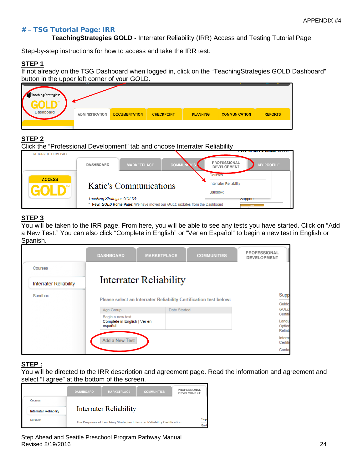#### # – TSG Tutorial Page: IRR

**TeachingStrategies GOLD -** Interrater Reliability (IRR) Access and Testing Tutorial Page

Step-by-step instructions for how to access and take the IRR test:

#### **STEP 1**

If not already on the TSG Dashboard when logged in, click on the "TeachingStrategies GOLD Dashboard" button in the upper left corner of your GOLD.

| TeachingStrategies*<br>GULD |                       |                      |                   |                 |                      | —————          |
|-----------------------------|-----------------------|----------------------|-------------------|-----------------|----------------------|----------------|
| Dashboard                   | <b>ADMINISTRATION</b> | <b>DOCUMENTATION</b> | <b>CHECKPOINT</b> | <b>PLANNING</b> | <b>COMMUNICATION</b> | <b>REPORTS</b> |
|                             |                       |                      |                   |                 |                      |                |

## **STEP 2**

| Click the "Professional Development" tab and choose Interrater Reliability<br><b>RETURN TO HOMEPAGE</b> |                           |                                                                        |                                          |                                                         |
|---------------------------------------------------------------------------------------------------------|---------------------------|------------------------------------------------------------------------|------------------------------------------|---------------------------------------------------------|
|                                                                                                         | <b>DASHBOARD</b>          | <b>MARKETPLACE</b>                                                     | <b>COMMUI</b>                            | PROFESSIONAL<br><b>MY PROFILE</b><br><b>DEVELOPMENT</b> |
| <b>ACCESS</b>                                                                                           | Katie's Communications    |                                                                        | Courses<br><b>Interrater Reliability</b> |                                                         |
|                                                                                                         | Teaching Strategies GOLD® |                                                                        |                                          | Sandbox<br><b>SUDDOIT</b>                               |
|                                                                                                         |                           | New: GOLD Home Page: We have moved our GOLD updates from the Dashboard |                                          |                                                         |

### **STEP 3**

You will be taken to the IRR page. From here, you will be able to see any tests you have started. Click on "Add a New Test." You can also click "Complete in English" or "Ver en Español" to begin a new test in English or Spanish.

|                               | <b>DASHBOARD</b>                        | <b>MARKETPLACE</b>                                                | <b>COMMUNITIES</b> | PROFESSIONAL<br><b>DEVELOPMENT</b> |
|-------------------------------|-----------------------------------------|-------------------------------------------------------------------|--------------------|------------------------------------|
| Courses                       |                                         |                                                                   |                    |                                    |
| <b>Interrater Reliability</b> |                                         | Interrater Reliability                                            |                    |                                    |
| Sandbox                       |                                         | Please select an Interrater Reliability Certification test below: |                    | Supp<br>Guide                      |
|                               | Age Group                               | Date Started                                                      |                    | <b>GOLD</b>                        |
|                               | Begin a new test                        |                                                                   |                    | Certific                           |
|                               | Complete in English   Ver en<br>español |                                                                   |                    | Langu<br>Option<br><b>Reliab</b>   |
|                               | Add a New Test                          |                                                                   |                    | Interra<br>Certific                |
|                               |                                         |                                                                   |                    | Contar                             |

#### **STEP :**

You will be directed to the IRR description and agreement page. Read the information and agreement and select "I agree" at the bottom of the screen.

|                               | <b>DASHBOARD</b> | <b>MARKETPLACE</b>            | <b>COMMUNITIES</b>                                                       | PROFESSIONAL<br><b>DEVELOPMENT</b>      |
|-------------------------------|------------------|-------------------------------|--------------------------------------------------------------------------|-----------------------------------------|
| Courses                       |                  |                               |                                                                          |                                         |
| <b>Interrater Reliability</b> |                  | <b>Interrater Reliability</b> |                                                                          |                                         |
| Sandbox                       |                  |                               | The Purposes of Teaching Strategies Interrater Reliability Certification | Sup<br>$\overline{\phantom{a}}$<br>Guid |